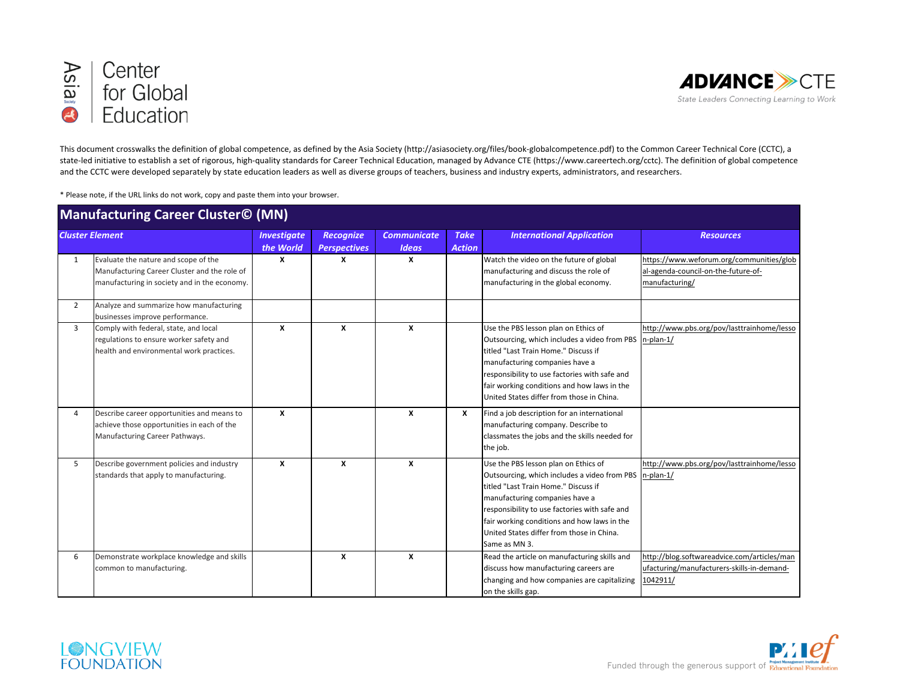



This document crosswalks the definition of global competence, as defined by the Asia Society (http://asiasociety.org/files/book-globalcompetence.pdf) to the Common Career Technical Core (CCTC), a state-led initiative to establish a set of rigorous, high-quality standards for Career Technical Education, managed by Advance CTE (https://www.careertech.org/cctc). The definition of global competence and the CCTC were developed separately by state education leaders as well as diverse groups of teachers, business and industry experts, administrators, and researchers.

\* Please note, if the URL links do not work, copy and paste them into your browser. 

| <b>Manufacturing Career Cluster© (MN)</b> |                                                                                                                                      |                                 |                                         |                                    |                              |                                                                                                                                                                                                                                                                                                                              |                                                                                                       |  |
|-------------------------------------------|--------------------------------------------------------------------------------------------------------------------------------------|---------------------------------|-----------------------------------------|------------------------------------|------------------------------|------------------------------------------------------------------------------------------------------------------------------------------------------------------------------------------------------------------------------------------------------------------------------------------------------------------------------|-------------------------------------------------------------------------------------------------------|--|
| <b>Cluster Element</b>                    |                                                                                                                                      | <b>Investigate</b><br>the World | <b>Recognize</b><br><b>Perspectives</b> | <b>Communicate</b><br><b>Ideas</b> | <b>Take</b><br><b>Action</b> | <b>International Application</b>                                                                                                                                                                                                                                                                                             | <b>Resources</b>                                                                                      |  |
| 1                                         | Evaluate the nature and scope of the<br>Manufacturing Career Cluster and the role of<br>manufacturing in society and in the economy. | X                               | X                                       | $\boldsymbol{x}$                   |                              | Watch the video on the future of global<br>manufacturing and discuss the role of<br>manufacturing in the global economy.                                                                                                                                                                                                     | https://www.weforum.org/communities/glob<br>al-agenda-council-on-the-future-of-<br>manufacturing/     |  |
| 2                                         | Analyze and summarize how manufacturing<br>businesses improve performance.                                                           |                                 |                                         |                                    |                              |                                                                                                                                                                                                                                                                                                                              |                                                                                                       |  |
| $\overline{3}$                            | Comply with federal, state, and local<br>regulations to ensure worker safety and<br>health and environmental work practices.         | $\boldsymbol{x}$                | $\boldsymbol{x}$                        | $\boldsymbol{x}$                   |                              | Use the PBS lesson plan on Ethics of<br>Outsourcing, which includes a video from PBS<br>titled "Last Train Home." Discuss if<br>manufacturing companies have a<br>responsibility to use factories with safe and<br>fair working conditions and how laws in the<br>United States differ from those in China.                  | http://www.pbs.org/pov/lasttrainhome/lesso<br>$ n$ -plan-1/                                           |  |
| 4                                         | Describe career opportunities and means to<br>achieve those opportunities in each of the<br>Manufacturing Career Pathways.           | X                               |                                         | $\boldsymbol{x}$                   | x                            | Find a job description for an international<br>manufacturing company. Describe to<br>classmates the jobs and the skills needed for<br>the job.                                                                                                                                                                               |                                                                                                       |  |
| 5                                         | Describe government policies and industry<br>standards that apply to manufacturing.                                                  | $\boldsymbol{x}$                | $\boldsymbol{x}$                        | $\boldsymbol{x}$                   |                              | Use the PBS lesson plan on Ethics of<br>Outsourcing, which includes a video from PBS<br>titled "Last Train Home." Discuss if<br>manufacturing companies have a<br>responsibility to use factories with safe and<br>fair working conditions and how laws in the<br>United States differ from those in China.<br>Same as MN 3. | http://www.pbs.org/pov/lasttrainhome/lesso<br>$ n$ -plan-1/                                           |  |
| 6                                         | Demonstrate workplace knowledge and skills<br>common to manufacturing.                                                               |                                 | X                                       | $\boldsymbol{x}$                   |                              | Read the article on manufacturing skills and<br>discuss how manufacturing careers are<br>changing and how companies are capitalizing<br>on the skills gap.                                                                                                                                                                   | http://blog.softwareadvice.com/articles/man<br>ufacturing/manufacturers-skills-in-demand-<br>1042911/ |  |



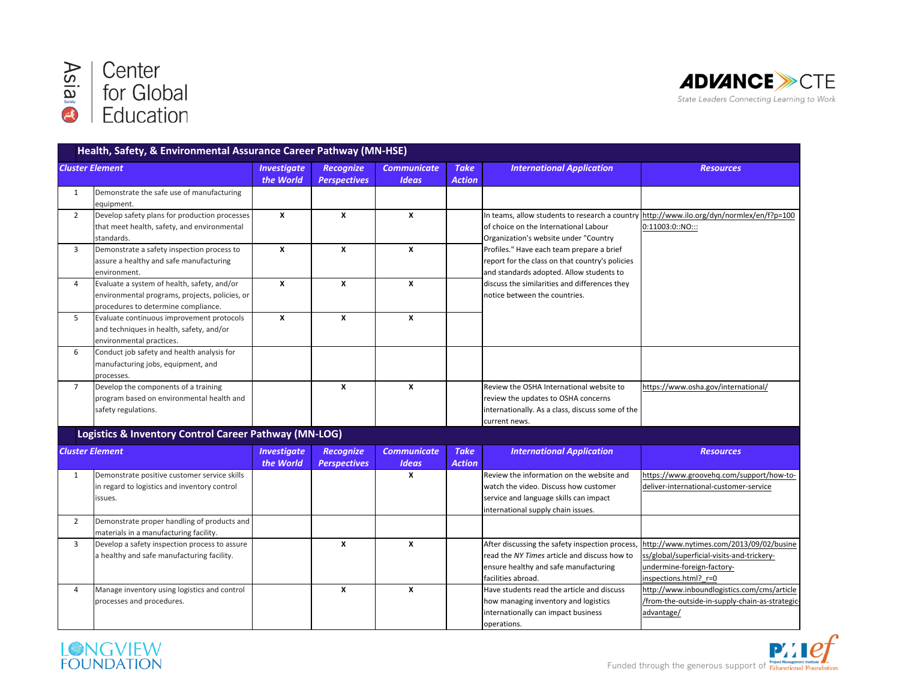



|                | <b>Cluster Element</b>                                      | <b>Investigate</b> | <b>Recognize</b>    | <b>Communicate</b> | <b>Take</b>   |                                                                                          |                                                               |
|----------------|-------------------------------------------------------------|--------------------|---------------------|--------------------|---------------|------------------------------------------------------------------------------------------|---------------------------------------------------------------|
|                |                                                             | the World          | <b>Perspectives</b> | <b>Ideas</b>       | <b>Action</b> | <b>International Application</b>                                                         | <b>Resources</b>                                              |
|                |                                                             |                    |                     |                    |               |                                                                                          |                                                               |
| 1              | Demonstrate the safe use of manufacturing                   |                    |                     |                    |               |                                                                                          |                                                               |
| $\overline{2}$ | equipment.<br>Develop safety plans for production processes | $\boldsymbol{x}$   | $\mathbf{x}$        | $\boldsymbol{x}$   |               | In teams, allow students to research a country http://www.ilo.org/dyn/normlex/en/f?p=100 |                                                               |
|                |                                                             |                    |                     |                    |               | of choice on the International Labour                                                    | 0:11003:0::NO:::                                              |
|                | that meet health, safety, and environmental                 |                    |                     |                    |               |                                                                                          |                                                               |
|                | standards.                                                  |                    |                     |                    |               | Organization's website under "Country                                                    |                                                               |
| 3              | Demonstrate a safety inspection process to                  | $\boldsymbol{x}$   | X                   | $\boldsymbol{x}$   |               | Profiles." Have each team prepare a brief                                                |                                                               |
|                | assure a healthy and safe manufacturing                     |                    |                     |                    |               | report for the class on that country's policies                                          |                                                               |
|                | environment.                                                |                    |                     |                    |               | and standards adopted. Allow students to                                                 |                                                               |
| 4              | Evaluate a system of health, safety, and/or                 | $\boldsymbol{x}$   | X                   | $\boldsymbol{x}$   |               | discuss the similarities and differences they                                            |                                                               |
|                | environmental programs, projects, policies, or              |                    |                     |                    |               | notice between the countries.                                                            |                                                               |
|                | procedures to determine compliance.                         |                    |                     |                    |               |                                                                                          |                                                               |
| 5              | Evaluate continuous improvement protocols                   | $\boldsymbol{x}$   | X                   | $\boldsymbol{x}$   |               |                                                                                          |                                                               |
|                | and techniques in health, safety, and/or                    |                    |                     |                    |               |                                                                                          |                                                               |
|                | environmental practices.                                    |                    |                     |                    |               |                                                                                          |                                                               |
| 6              | Conduct job safety and health analysis for                  |                    |                     |                    |               |                                                                                          |                                                               |
|                | manufacturing jobs, equipment, and                          |                    |                     |                    |               |                                                                                          |                                                               |
|                | processes.                                                  |                    |                     |                    |               |                                                                                          |                                                               |
| $\overline{7}$ | Develop the components of a training                        |                    | X                   | $\boldsymbol{x}$   |               | Review the OSHA International website to                                                 | https://www.osha.gov/international/                           |
|                | program based on environmental health and                   |                    |                     |                    |               | review the updates to OSHA concerns                                                      |                                                               |
|                | safety regulations.                                         |                    |                     |                    |               | internationally. As a class, discuss some of the                                         |                                                               |
|                |                                                             |                    |                     |                    |               | current news.                                                                            |                                                               |
|                | Logistics & Inventory Control Career Pathway (MN-LOG)       |                    |                     |                    |               |                                                                                          |                                                               |
|                | <b>Cluster Element</b>                                      | <b>Investigate</b> | <b>Recognize</b>    | <b>Communicate</b> | <b>Take</b>   | <b>International Application</b>                                                         | <b>Resources</b>                                              |
|                |                                                             | the World          | <b>Perspectives</b> | <b>Ideas</b>       | <b>Action</b> |                                                                                          |                                                               |
| $\mathbf{1}$   | Demonstrate positive customer service skills                |                    |                     | X                  |               | Review the information on the website and                                                | https://www.groovehq.com/support/how-to-                      |
|                | in regard to logistics and inventory control                |                    |                     |                    |               | watch the video. Discuss how customer                                                    | deliver-international-customer-service                        |
|                | issues.                                                     |                    |                     |                    |               | service and language skills can impact                                                   |                                                               |
|                |                                                             |                    |                     |                    |               | international supply chain issues.                                                       |                                                               |
| $\overline{2}$ | Demonstrate proper handling of products and                 |                    |                     |                    |               |                                                                                          |                                                               |
|                | materials in a manufacturing facility.                      |                    |                     |                    |               |                                                                                          |                                                               |
| $\overline{3}$ | Develop a safety inspection process to assure               |                    | $\boldsymbol{x}$    | $\boldsymbol{x}$   |               | After discussing the safety inspection process,                                          | http://www.nytimes.com/2013/09/02/busine                      |
|                | a healthy and safe manufacturing facility.                  |                    |                     |                    |               | read the NY Times article and discuss how to                                             | ss/global/superficial-visits-and-trickery-                    |
|                |                                                             |                    |                     |                    |               | ensure healthy and safe manufacturing                                                    | undermine-foreign-factory-                                    |
|                |                                                             |                    |                     |                    |               | facilities abroad.                                                                       | inspections.html? r=0                                         |
|                |                                                             |                    |                     |                    |               |                                                                                          |                                                               |
| 4              |                                                             |                    | $\mathbf{x}$        | $\boldsymbol{x}$   |               |                                                                                          |                                                               |
|                | Manage inventory using logistics and control                |                    |                     |                    |               | Have students read the article and discuss                                               | http://www.inboundlogistics.com/cms/article                   |
|                | processes and procedures.                                   |                    |                     |                    |               | how managing inventory and logistics<br>internationally can impact business              | /from-the-outside-in-supply-chain-as-strategic-<br>advantage/ |

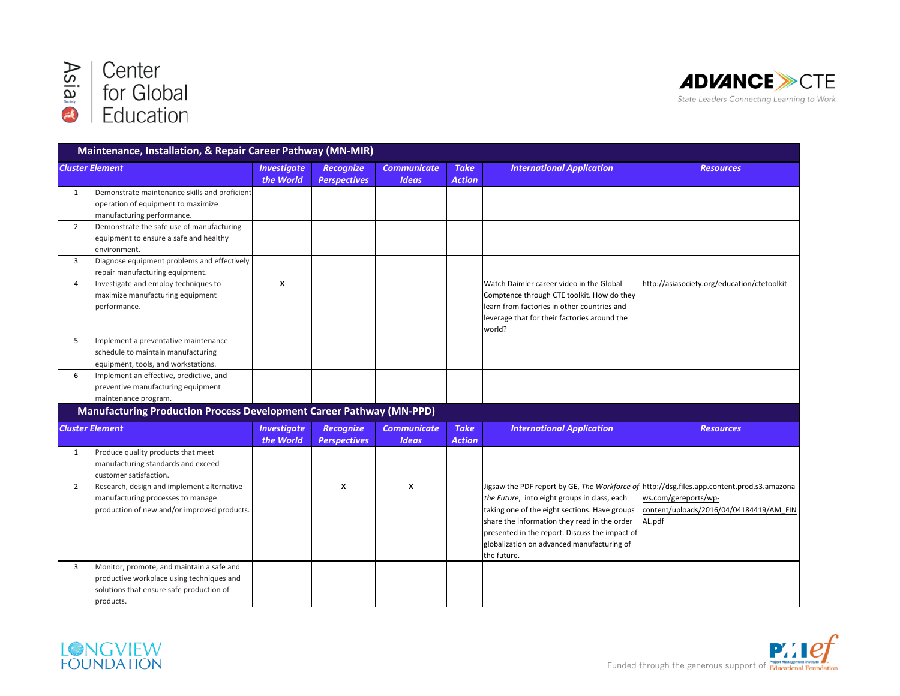



|                        | Maintenance, Installation, & Repair Career Pathway (MN-MIR)                                                                                     |                                 |                                         |                                    |                              |                                                                                                                                                                                                                                                              |                                                                                                                                                                         |
|------------------------|-------------------------------------------------------------------------------------------------------------------------------------------------|---------------------------------|-----------------------------------------|------------------------------------|------------------------------|--------------------------------------------------------------------------------------------------------------------------------------------------------------------------------------------------------------------------------------------------------------|-------------------------------------------------------------------------------------------------------------------------------------------------------------------------|
| <b>Cluster Element</b> |                                                                                                                                                 | <b>Investigate</b>              | <b>Recognize</b>                        | <b>Communicate</b>                 | <b>Take</b>                  | <b>International Application</b>                                                                                                                                                                                                                             | <b>Resources</b>                                                                                                                                                        |
|                        |                                                                                                                                                 | the World                       | <b>Perspectives</b>                     | <b>Ideas</b>                       | <b>Action</b>                |                                                                                                                                                                                                                                                              |                                                                                                                                                                         |
| 1                      | Demonstrate maintenance skills and proficient<br>operation of equipment to maximize<br>manufacturing performance.                               |                                 |                                         |                                    |                              |                                                                                                                                                                                                                                                              |                                                                                                                                                                         |
| $\overline{2}$         | Demonstrate the safe use of manufacturing<br>equipment to ensure a safe and healthy<br>environment.                                             |                                 |                                         |                                    |                              |                                                                                                                                                                                                                                                              |                                                                                                                                                                         |
| $\overline{3}$         | Diagnose equipment problems and effectively<br>repair manufacturing equipment.                                                                  |                                 |                                         |                                    |                              |                                                                                                                                                                                                                                                              |                                                                                                                                                                         |
| 4                      | Investigate and employ techniques to<br>maximize manufacturing equipment<br>performance.                                                        | X                               |                                         |                                    |                              | Watch Daimler career video in the Global<br>Comptence through CTE toolkit. How do they<br>learn from factories in other countries and<br>leverage that for their factories around the<br>world?                                                              | http://asiasociety.org/education/ctetoolkit                                                                                                                             |
| 5                      | Implement a preventative maintenance<br>schedule to maintain manufacturing<br>equipment, tools, and workstations.                               |                                 |                                         |                                    |                              |                                                                                                                                                                                                                                                              |                                                                                                                                                                         |
| 6                      | Implement an effective, predictive, and<br>preventive manufacturing equipment<br>maintenance program.                                           |                                 |                                         |                                    |                              |                                                                                                                                                                                                                                                              |                                                                                                                                                                         |
|                        | Manufacturing Production Process Development Career Pathway (MN-PPD)                                                                            |                                 |                                         |                                    |                              |                                                                                                                                                                                                                                                              |                                                                                                                                                                         |
|                        | <b>Cluster Element</b>                                                                                                                          | <b>Investigate</b><br>the World | <b>Recognize</b><br><b>Perspectives</b> | <b>Communicate</b><br><b>Ideas</b> | <b>Take</b><br><b>Action</b> | <b>International Application</b>                                                                                                                                                                                                                             | <b>Resources</b>                                                                                                                                                        |
| 1                      | Produce quality products that meet<br>manufacturing standards and exceed<br>customer satisfaction.                                              |                                 |                                         |                                    |                              |                                                                                                                                                                                                                                                              |                                                                                                                                                                         |
| $\overline{2}$         | Research, design and implement alternative<br>manufacturing processes to manage<br>production of new and/or improved products.                  |                                 | X                                       | $\boldsymbol{x}$                   |                              | the Future, into eight groups in class, each<br>taking one of the eight sections. Have groups<br>share the information they read in the order<br>presented in the report. Discuss the impact of<br>globalization on advanced manufacturing of<br>the future. | Jigsaw the PDF report by GE, The Workforce of http://dsg.files.app.content.prod.s3.amazona<br>ws.com/gereports/wp-<br>content/uploads/2016/04/04184419/AM FIN<br>AL.pdf |
| 3                      | Monitor, promote, and maintain a safe and<br>productive workplace using techniques and<br>solutions that ensure safe production of<br>products. |                                 |                                         |                                    |                              |                                                                                                                                                                                                                                                              |                                                                                                                                                                         |



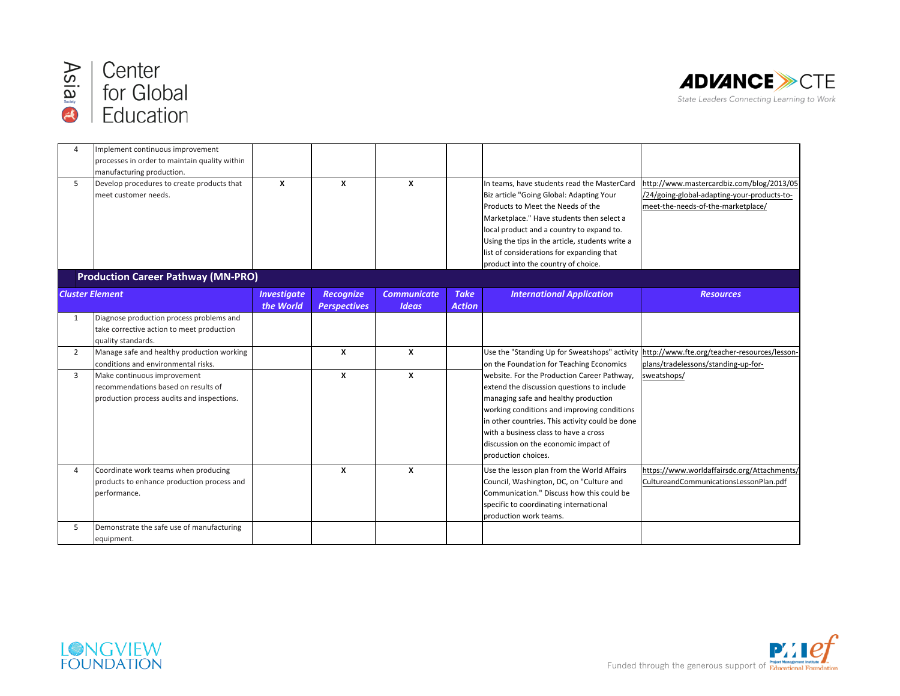



| $\sqrt{2}$             | Implement continuous improvement<br>processes in order to maintain quality within                                |                                 |                                         |                                    |                              |                                                                                                                                                                                                                                                                                                                                                               |                                                                                                                                   |
|------------------------|------------------------------------------------------------------------------------------------------------------|---------------------------------|-----------------------------------------|------------------------------------|------------------------------|---------------------------------------------------------------------------------------------------------------------------------------------------------------------------------------------------------------------------------------------------------------------------------------------------------------------------------------------------------------|-----------------------------------------------------------------------------------------------------------------------------------|
| 5                      | manufacturing production.<br>Develop procedures to create products that<br>meet customer needs.                  | X                               | $\boldsymbol{x}$                        | $\mathbf{x}$                       |                              | In teams, have students read the MasterCard<br>Biz article "Going Global: Adapting Your<br>Products to Meet the Needs of the<br>Marketplace." Have students then select a<br>local product and a country to expand to.<br>Using the tips in the article, students write a<br>list of considerations for expanding that<br>product into the country of choice. | http://www.mastercardbiz.com/blog/2013/05<br>/24/going-global-adapting-your-products-to-<br>meet-the-needs-of-the-marketplace/    |
|                        | <b>Production Career Pathway (MN-PRO)</b>                                                                        |                                 |                                         |                                    |                              |                                                                                                                                                                                                                                                                                                                                                               |                                                                                                                                   |
| <b>Cluster Element</b> |                                                                                                                  | <b>Investigate</b><br>the World | <b>Recognize</b><br><b>Perspectives</b> | <b>Communicate</b><br><b>Ideas</b> | <b>Take</b><br><b>Action</b> | <b>International Application</b>                                                                                                                                                                                                                                                                                                                              | <b>Resources</b>                                                                                                                  |
| $\mathbf{1}$           | Diagnose production process problems and<br>take corrective action to meet production<br>quality standards.      |                                 |                                         |                                    |                              |                                                                                                                                                                                                                                                                                                                                                               |                                                                                                                                   |
| $\overline{2}$         | Manage safe and healthy production working<br>conditions and environmental risks.                                |                                 | $\boldsymbol{x}$                        | X                                  |                              | on the Foundation for Teaching Economics                                                                                                                                                                                                                                                                                                                      | Use the "Standing Up for Sweatshops" activity http://www.fte.org/teacher-resources/lesson-<br>plans/tradelessons/standing-up-for- |
| 3                      | Make continuous improvement<br>recommendations based on results of<br>production process audits and inspections. |                                 | $\mathbf{x}$                            | X                                  |                              | website. For the Production Career Pathway,<br>extend the discussion questions to include<br>managing safe and healthy production<br>working conditions and improving conditions<br>in other countries. This activity could be done<br>with a business class to have a cross<br>discussion on the economic impact of<br>production choices.                   | sweatshops/                                                                                                                       |
| $\overline{4}$         | Coordinate work teams when producing<br>products to enhance production process and<br>performance.               |                                 | $\boldsymbol{x}$                        | X                                  |                              | Use the lesson plan from the World Affairs<br>Council, Washington, DC, on "Culture and<br>Communication." Discuss how this could be<br>specific to coordinating international<br>production work teams.                                                                                                                                                       | https://www.worldaffairsdc.org/Attachments/<br>CultureandCommunicationsLessonPlan.pdf                                             |
| 5                      | Demonstrate the safe use of manufacturing<br>equipment.                                                          |                                 |                                         |                                    |                              |                                                                                                                                                                                                                                                                                                                                                               |                                                                                                                                   |